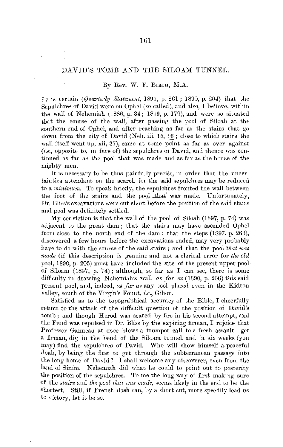## DAVID'S TOMB AND THE SILOAM TUNNEL.

## By Rev. **W.** F. Brncu, **M.A.**

I<sub>T</sub> is certain *(Quarterly Statement*, 1895, p. 261; 1890, p. 204) that the Sepulchres of David were on Ophel (so called), and also, I believe, within the wall of Nehemiah (1886, p. 34; 1879, p. 179), and were so situated that the course of the wall, after passing the pool of Siloah at the southern end of Ophel, and after reaching as far as the stairs that go down from the city of David (Neh. iii, 15, 16; close to which stairs the wall itself went up, xii,  $37$ ), came at some point as far as over against  $(i.e.,$  opposite to, in face of) the sepulchres of David, and thence was continued as far as the pool that was made and as far as the house of the mighty men.

It is necessary to be thus painfully precise, in order that the uncertainties attendant on the search for the said sepulchres may be reduced to a *minimum*. To speak briefly, the sepulclifies fronted the wall between the foot of the stairs and the pool that was made. Unfortunately, Dr. Bliss's excavations were cut short before the position of the said stairs and pool was definitely settled.

My conviction is that the wall of the pool of Siloah  $(1897, p. 74)$  was adjacent to the great dam; that the stairs may have ascended Ophel from close to the north end of the dam; that the steps (1897, p. 263), discovered a few hours before the excavations ended, may very probably have to do with the course of the said stairs; and that the pool *that 1oas rnade* (if this description is genuine and not a clerical error for *the old*  pool, 1890, p. 205) must have included the site of the present upper pool of Siloam (1897, p. 74); although, so far as *I* can see, there is some difficulty in drawing Nehemiah's wall *as far as*  $(1890, p. 206)$  this said present pool, and, indeed, *as far as* any pool placed even in the Kidron valley, south of the Virgin's Fount, *i.e.,* Gihou.

Satisfied as to the topographical accuracy of the Bible, I cheerfully return to the attack of the difficult question of the position of David's tomb; and though Herod was scared by fire in his second attempt, and the Fund was repulsed in Dr. Bliss by the expiring firrnan, I rejoice that Professor Ganneau at once blows a trumpet call to a fresh assault-get a firman, dig in the bend of the Siloam tmmel, and in six weeks (you may) find the sepulchres of David. Who will show himself a peaceful Joab, by being the first to get through the subterranean passage into the long home of David? I shall welcome any discoverer, even from the land of Sinim. Nehemiah did what he could to point out to posterity the position of the sepulchres. To me the long way of first making sure of the *stairs* and *the pool that 1ws made,* l'eems likely in the end to be the shortest. Still, if French dash can, by a short cut, more speedily lead us to victory, let it be so.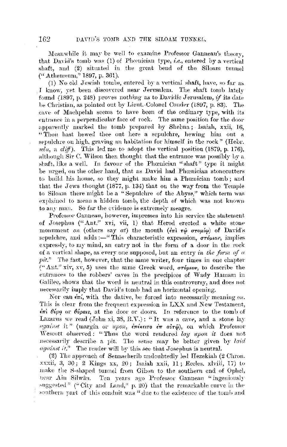Meanwhile it may be well to examine Professor Ganneau's theory. that David's tomb was (1) of Phoenician type, *i.e.*, entered by a vertical shaft, and (2) situated in the great bend of the Siloam tunnel ("Athenseum," 1897, p. 361).

(1) No old Jewish tombs, entered by a vertical shaft, have, so far as I know, yet been discovered near Jerusalem. The shaft tomb lately found (1897, p. 248) proves nothing as to Davidic Jerusalem, if its date be Christian, as pointed out by Lieut.-Colonel Conder (1897, p. 83). The cave of Machpelah seems to have been of the ordinary type, with its entrance in a perpendicular face of rock. The same position for the door apparently marked the tomb prepared by Shebna; Isaiah, xxii, 16, "Thou hast hewed thee out here a sepulchre, hewing him out a sepulchre on high, graving an habitation for himself in the rock" (Hebr. sela, a  $di\mathcal{f}$ ). This led me to adopt the vertical position (1879, p. 176), although Sir C. Wilson then thought that the entrance was possibly by a shaft, like a well. In favour of the Phœnician "shaft" type it might be urged, on the other hand, that as David had Phonician stonecutters to build his house, so they might make him a Phœnician tomb; and that the Jews thought (1877, p. 134) that on the way from the Temple to Siloam there might be a "Sepulchre of the Abyss," which term was explained to mean a hidden tomb, the depth of which was not known to any man. So far the evidence is extremely meagre.

Professor Ganneau, however, impresses into his service the statement of Josephus ("Ant." xvi, vii, 1) that Herod erected a white stone monument on (others say at) the mouth  $(\epsilon \pi)$   $\tau \phi$   $\sigma \tau o \mu(\phi)$  of David's sepulchre, and adds :- "This characteristic expression,  $\sigma\tau\phi\mu\omega\nu$ , implies expressly, to my mind, an entry not in the form of a door in the rock of a vertical shape, as every one supposed, but an entry in the form of  $a$  $pit.$ " The fact, however, that the same writer, four times in one chapter ("Ant." xiv, xv, 5) uses the same Greek word,  $\sigma r \phi \mu \omega \nu$ , to describe the entrances to the robbers' caves in the precipices of Wady Hamam in Galilee, shows that the word is neutral in this controversy, and does not necessarily imply that David's tomb had an horizontal opening.

Nor can  $\epsilon \pi i$ , with the dative, be forced into necessarily meaning on. This is clear from the frequent expression in LXX and New Testament,  $\epsilon \pi i \theta \psi \rho q$  or  $\theta \psi \rho a \nu s$ , at the door or doors. In reference to the tomb of Lazarus we read (John xi, 38, R.V.): "It was a cave, and a stone lay against it" (margin or upon, επέκειτο έπ αύτώ), on which Professor Wescott observed: "Thus the word rendered lay upon it does not necessarily describe a pit. The sense may be better given by laid against it." The reader will by this see that Josephus is neutral.

(2) The approach of Sennacherib undoubtedly led Hezekiah (2 Chron. xxxii, 3, 30; 2 Kings xx, 20; Isaiah xxii, 11; Eccles. xlviii, 17) to make the S-shaped tunnel from Gihon to the southern end of Ophel, near Ain Silwân. Ten years ago Professor Ganneau "ingeniously suggested" ("City and Land," p. 20) that the remarkable curve in the southern part of this conduit was "due to the existence of the tomb and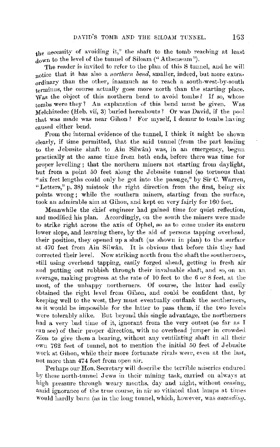the necessity of avoiding it," the shaft to the tomb reaching at least down to the level of the tunnel of Siloam ("Atheneum").

The reader is invited to refer to the plan of this S tunnel, and he will notice that it has also a *northern bend,* smaller, indeed, but more extraordinary than the other, inasmuch as to reach a south-wrst-by-south terminus, the course actually goes more north than the starting place. ·was the object of this northern bend to avoid tombs? If so, whose  $t$ -ombs were they? An explanation of this bend must be given. Was Melchizedec (Heb. vii, 3) buried hereabouts? Or was David, if the pool that was made was near Gihon? For myself, I demur to tombs having caused either bend.

From the internal evidence of the tunnel, I think it might be shown clearly, if time permitted, that the said tunnel (from the part leading to the Jebusite shaft to Ain Silwan) was, in an emergency, begun practically at the same time from both ends, before there was time for proper levelling ; that the northern miners not starting from daylight, but from a point 50 feet along the Jebusite tunnel (so tortuous that "six feet lengths could only be got into the passage," by  $\text{Sir } C$ . Warren, "Letters," p. 38) mistook the right direction from the first, being six points wrong; while the southern miners, starting from the surface, took an admirable aim at Gihon, and kept on very fairly for 160 feet.

Meanwhile the chief engineer had gained time for quiet reflection, and modified his plan. Accordingly, on the south the miners were made to strike right across the axis of Ophel, so as to come under its eastern lower slope, and learning there, by the aid of persons tapping overhead, their position, they opened up a shaft (as shown in plan) to the surface at 470 feet from Ain Silwân. It is obvious that before this they had corrected their level. Now striking north from the shaft the southerners, still using overhead tapping, easily forged ahead, getting in fresh air and putting out rubbish through their invaluable shaft, and so, on an average, making progress at the rate of 10 feet to the 6 or 8 feet, at the most, of the unhappy northerners. Of course, the latter had easily obtained the right level from Gihon, and could be confident that, by keeping well to the west, they must eventually outflank the southerners, as it would be impossible for the latter to pass them, if the two levels were tolerably alike. But beyond this single advantage, the northerners had a very bad time of it, ignorant from the very outset (so far as I can see) of their proper direction, with no overhead jumper in crowded Zion to give them a bearing, without any ventilating shaft in all their  $own 762$  feet of tunnel, not to mention the initial  $50$  feet of Jebusite work at Gihon, while their more fortunate rivals were, even at the last, not more than 474 feet from open air.

Perhaps our Hon. Secretary will describe the terrible miseries endured by these north-tunnel Jews in their mining task, carried on always at high pressure through weary months, day and night, without ceasing, amid ignorance of the true course, in air so vitiated that lamps at times would hardly burn (as in the long tunnel, which, however, was *ascending*.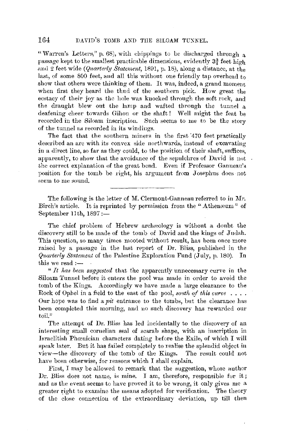"Warren's Letters," p. 68), with chippings to be discharged through a passage kept to the smallest practicable dimensions, evidently  $3\frac{3}{4}$  feet high and 2 feet wide *(Quarterly Statement,* 1891, p. 18), along a distance, at the last, of some 800 feet, and all this without one friendly tap overhead to show that others were thinking of them. It was, indeed, a grand moment when first they heard the thud of the southern pick. How great the ecstacy of their joy as the hole was knocked through the soft rock, and the draught blew out the lamp and wafted through the tunnel a deafening cheer towards Gihon or the shaft! Well mignt the feat be recorded in the Siloam inscription. Such seems to me to be the story of the tunnel as recorded in its windings.

The fact that the southern miners in the first 470 feet practically described an arc with its convex side northwards, instead of excavating in a direct line, so far as they could, to the position of their shaft, suffices, apparently, to show that the avoidance of the sepulchres of David is not the correct explanation of the great bend. Even if Professor Gannean's position for the tomb be right, his argument from Josephus does not seem to me sound.

The following is the letter of M. Clermont-Ganneau referred to in Mr. Birch's article. It is reprinted by permission from the "Atheneum" of September 11th,  $1897 :=$ 

The chief problem of Hebrew archaeology is without a doubt the discovery still to be made of the tomb of David and the kings of Judah. This question, so many times mooted without result, has been once more raised by a passage in the last report of Dr. Bliss, published in the *Qua;•terly Statement* of the Palestine Exploratiou Fund (July, p. 180). In this we read  $:$   $-$ 

" It has been suggested that the apparently unnecessary curve in the Siloam Tunnel before it enters the pool was made in order to avoid the tomb of the Kings. Accordingly we have made a large clearance to the Rock of Ophel in a field to the east of the pool, *south of this curve* . . . . Onr hope was to find a *pit* entrance to the tombs, but the clearance has been completed this morning, and uo such discovery has rewarded our toil."

The attempt of Dr. Bliss has led incidentally to the discovery of an interesting small cornelian seal of scarab shape, with an inscription in Israelitish Phcenician characters dating before the Exile, of which I will speak later. But it has failed completely to realise the splendid object in view-the discovery of the tomb of the Kings. The result could not have been otherwise, for reasons which I shall explain.

First, I may be allowed to remark that the suggestion, whose author Dr. Bliss does not name, is mine. I am, therefore, responsible for it; and as the event seems to have proved it to be wrong, it only gives me a greater right to examine the means adopted for verification. The theory of the close connection of the extraordinary deviation, up till then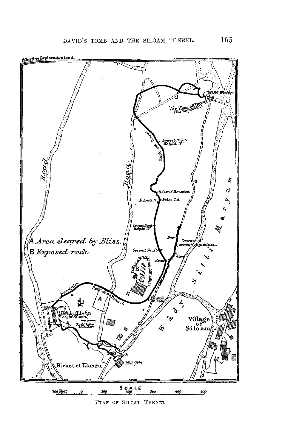

PLAN OF SILOAM TUNNEL.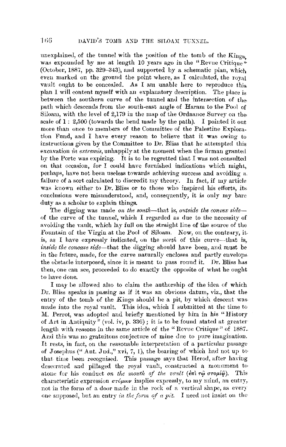unexplained, of the tunnel with the position of the tomb of the  $King<sub>8</sub>}$ was expounded by me at length 10 years ago in the "Revue Critique" (October, 1887, pp. 329-343), and supported by a schematic plan, which even marked on the ground the point where, as I calculated, the royal vault ought to be concealed. As I am unable here to reproduce this plan I will content myself with au explanatory description. The place is between the southern curve of the tunnel and the intersection of thepath which descends from the south-east angle of Haram to the Pool of Siloam, with the level of 2,179 in the map of the Ordnance Survey on thescale of  $1: 2,500$  (towards the bend made by the path). I pointed it out more than once to members of the Committee of the Palestine Exploration Fund, and I have every reason to believe that it was owing to instructions given by the Committee to Dr. Bliss that he attempted this excavation *in extremis*, unhappily at the moment when the firman granted by the Porte was expiring. It is to be regretted that I was not consulted on that occasion, for I could have furnished indications which might, perhaps, have not been useless towards achieving success and avoiding a. failure of a sort calculated to discredit my theory. In fact, if my article was known either to Dr. Bliss or to those who inspired his efforts, its conclusions were misunderstood, and, consequently, it is only my bare duty as a scholar to explain things.

The digging was made on the south-that is, *outside the convex side*of the curve of the tunnel, which I regarded as due to the necessity of avoiding the vanlt, which lay full on the straight line of the source of the Fonntain of the Virgin at the Pool of Siloam. Now, on the contrary, it. is, as I have expressly indicated, on the *north* of this curve--that is, *inside tlie concave side-that* the digging should have been, and must be in the future, made, for the curve naturally encloses and partly envelops. the obstacle interposed, since it is meant to pass round it. Dr. Bliss has then, one can see, proceeded to do exactly the opposite of what he ought to have doue.

I may be allowed also to claim the authorship of the idea of which Dr. Bliss speaks in passing as if it was an obvious datum, viz., that the entry of the tomb of the Kings should be a pit, by which descent wasmade into the royal vault. This idea, which I submitted at the time to M. Perrot, was adopted and briefly mentioned by him in his "History of Art in Antiquity<sup>"</sup> (vol. *iv, p.* 336); it is to be found stated at greater length with reasons in the same article of the "Revue Critique" of 1887. And this was no gratuitous conjecture of mine due to pure imagination. It rests, in fact, on the reasonable interpretation of a particular passage of Josephus ("Ant. Jud.," xvi, 7, 1), the bearing of which had not up to that time been recognised. This passage says that Herod, after haviug desecrated and pillaged the royal vault, constructed a monument to• atone for his conduct *on the mouth of the vault* ( $\epsilon \pi i \tau \hat{\varphi}$  *oroµi* $\hat{\varphi}$ ). This characteristic expression *ur6µwv* implies expressly, to my mind, an entry, not in the form of a door made in the rock of a vertical shape, as every one supposed, but an entry in the form of a pit. I need not insist on the